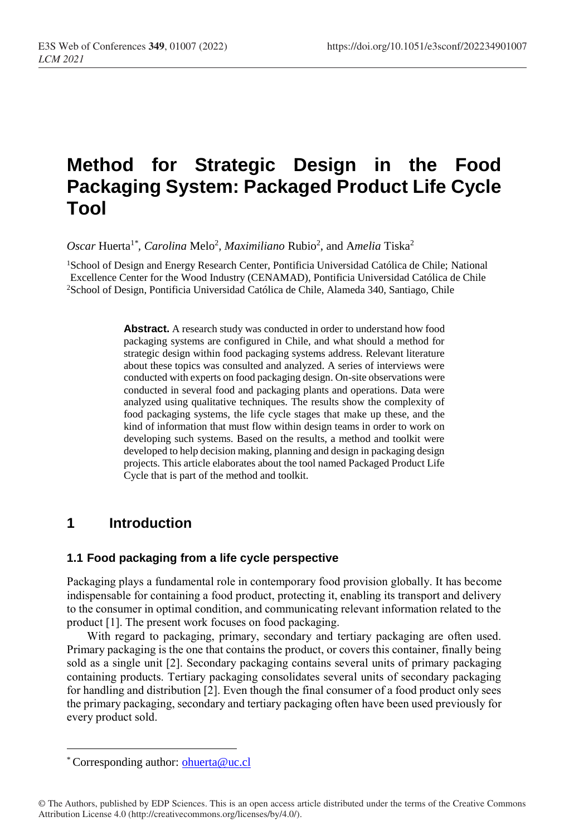# **Method for Strategic Design in the Food Packaging System: Packaged Product Life Cycle Tool**

Oscar Huerta<sup>1\*</sup>, Carolina Melo<sup>2</sup>, Maximiliano Rubio<sup>2</sup>, and Amelia Tiska<sup>2</sup>

<sup>1</sup>School of Design and Energy Research Center, Pontificia Universidad Católica de Chile; National Excellence Center for the Wood Industry (CENAMAD), Pontificia Universidad Católica de Chile <sup>2</sup>School of Design, Pontificia Universidad Católica de Chile, Alameda 340, Santiago, Chile

> **Abstract.** A research study was conducted in order to understand how food packaging systems are configured in Chile, and what should a method for strategic design within food packaging systems address. Relevant literature about these topics was consulted and analyzed. A series of interviews were conducted with experts on food packaging design. On-site observations were conducted in several food and packaging plants and operations. Data were analyzed using qualitative techniques. The results show the complexity of food packaging systems, the life cycle stages that make up these, and the kind of information that must flow within design teams in order to work on developing such systems. Based on the results, a method and toolkit were developed to help decision making, planning and design in packaging design projects. This article elaborates about the tool named Packaged Product Life Cycle that is part of the method and toolkit.

# **1 Introduction**

#### **1.1 Food packaging from a life cycle perspective**

Packaging plays a fundamental role in contemporary food provision globally. It has become indispensable for containing a food product, protecting it, enabling its transport and delivery to the consumer in optimal condition, and communicating relevant information related to the product [1]. The present work focuses on food packaging.

With regard to packaging, primary, secondary and tertiary packaging are often used. Primary packaging is the one that contains the product, or covers this container, finally being sold as a single unit [2]. Secondary packaging contains several units of primary packaging containing products. Tertiary packaging consolidates several units of secondary packaging for handling and distribution [2]. Even though the final consumer of a food product only sees the primary packaging, secondary and tertiary packaging often have been used previously for every product sold.

 $\overline{a}$ 

<sup>\*</sup> Corresponding author: [ohuerta@uc.cl](mailto:author@email.org)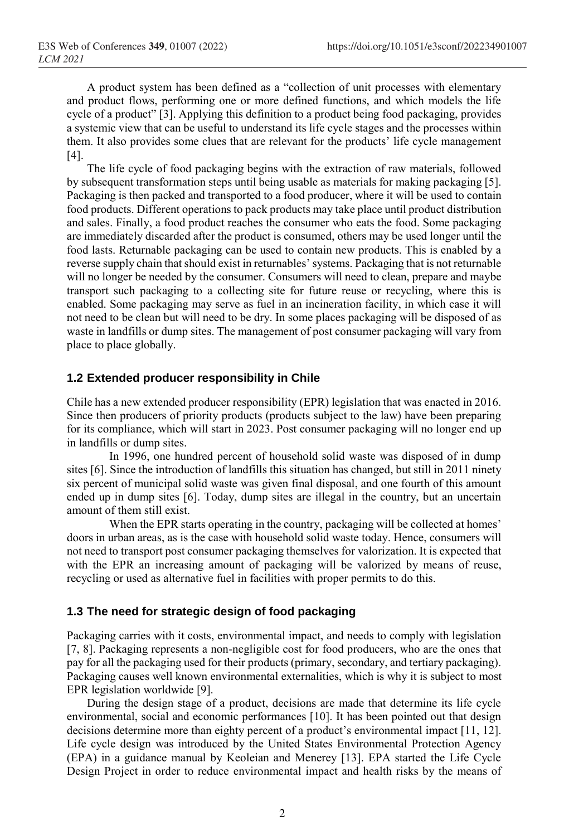A product system has been defined as a "collection of unit processes with elementary and product flows, performing one or more defined functions, and which models the life cycle of a product" [3]. Applying this definition to a product being food packaging, provides a systemic view that can be useful to understand its life cycle stages and the processes within them. It also provides some clues that are relevant for the products' life cycle management [4].

The life cycle of food packaging begins with the extraction of raw materials, followed by subsequent transformation steps until being usable as materials for making packaging [5]. Packaging is then packed and transported to a food producer, where it will be used to contain food products. Different operations to pack products may take place until product distribution and sales. Finally, a food product reaches the consumer who eats the food. Some packaging are immediately discarded after the product is consumed, others may be used longer until the food lasts. Returnable packaging can be used to contain new products. This is enabled by a reverse supply chain that should exist in returnables' systems. Packaging that is not returnable will no longer be needed by the consumer. Consumers will need to clean, prepare and maybe transport such packaging to a collecting site for future reuse or recycling, where this is enabled. Some packaging may serve as fuel in an incineration facility, in which case it will not need to be clean but will need to be dry. In some places packaging will be disposed of as waste in landfills or dump sites. The management of post consumer packaging will vary from place to place globally.

#### **1.2 Extended producer responsibility in Chile**

Chile has a new extended producer responsibility (EPR) legislation that was enacted in 2016. Since then producers of priority products (products subject to the law) have been preparing for its compliance, which will start in 2023. Post consumer packaging will no longer end up in landfills or dump sites.

In 1996, one hundred percent of household solid waste was disposed of in dump sites [6]. Since the introduction of landfills this situation has changed, but still in 2011 ninety six percent of municipal solid waste was given final disposal, and one fourth of this amount ended up in dump sites [6]. Today, dump sites are illegal in the country, but an uncertain amount of them still exist.

When the EPR starts operating in the country, packaging will be collected at homes' doors in urban areas, as is the case with household solid waste today. Hence, consumers will not need to transport post consumer packaging themselves for valorization. It is expected that with the EPR an increasing amount of packaging will be valorized by means of reuse, recycling or used as alternative fuel in facilities with proper permits to do this.

#### **1.3 The need for strategic design of food packaging**

Packaging carries with it costs, environmental impact, and needs to comply with legislation [7, 8]. Packaging represents a non-negligible cost for food producers, who are the ones that pay for all the packaging used for their products (primary, secondary, and tertiary packaging). Packaging causes well known environmental externalities, which is why it is subject to most EPR legislation worldwide [9].

During the design stage of a product, decisions are made that determine its life cycle environmental, social and economic performances [10]. It has been pointed out that design decisions determine more than eighty percent of a product's environmental impact [11, 12]. Life cycle design was introduced by the United States Environmental Protection Agency (EPA) in a guidance manual by Keoleian and Menerey [13]. EPA started the Life Cycle Design Project in order to reduce environmental impact and health risks by the means of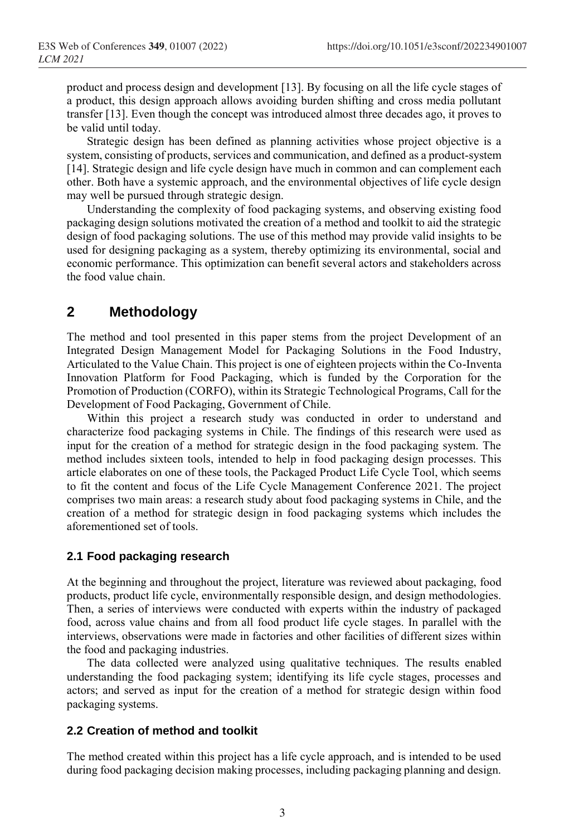product and process design and development [13]. By focusing on all the life cycle stages of a product, this design approach allows avoiding burden shifting and cross media pollutant transfer [13]. Even though the concept was introduced almost three decades ago, it proves to be valid until today.

Strategic design has been defined as planning activities whose project objective is a system, consisting of products, services and communication, and defined as a product-system [14]. Strategic design and life cycle design have much in common and can complement each other. Both have a systemic approach, and the environmental objectives of life cycle design may well be pursued through strategic design.

Understanding the complexity of food packaging systems, and observing existing food packaging design solutions motivated the creation of a method and toolkit to aid the strategic design of food packaging solutions. The use of this method may provide valid insights to be used for designing packaging as a system, thereby optimizing its environmental, social and economic performance. This optimization can benefit several actors and stakeholders across the food value chain.

# **2 Methodology**

The method and tool presented in this paper stems from the project Development of an Integrated Design Management Model for Packaging Solutions in the Food Industry, Articulated to the Value Chain. This project is one of eighteen projects within the Co-Inventa Innovation Platform for Food Packaging, which is funded by the Corporation for the Promotion of Production (CORFO), within its Strategic Technological Programs, Call for the Development of Food Packaging, Government of Chile.

Within this project a research study was conducted in order to understand and characterize food packaging systems in Chile. The findings of this research were used as input for the creation of a method for strategic design in the food packaging system. The method includes sixteen tools, intended to help in food packaging design processes. This article elaborates on one of these tools, the Packaged Product Life Cycle Tool, which seems to fit the content and focus of the Life Cycle Management Conference 2021. The project comprises two main areas: a research study about food packaging systems in Chile, and the creation of a method for strategic design in food packaging systems which includes the aforementioned set of tools.

#### **2.1 Food packaging research**

At the beginning and throughout the project, literature was reviewed about packaging, food products, product life cycle, environmentally responsible design, and design methodologies. Then, a series of interviews were conducted with experts within the industry of packaged food, across value chains and from all food product life cycle stages. In parallel with the interviews, observations were made in factories and other facilities of different sizes within the food and packaging industries.

The data collected were analyzed using qualitative techniques. The results enabled understanding the food packaging system; identifying its life cycle stages, processes and actors; and served as input for the creation of a method for strategic design within food packaging systems.

#### **2.2 Creation of method and toolkit**

The method created within this project has a life cycle approach, and is intended to be used during food packaging decision making processes, including packaging planning and design.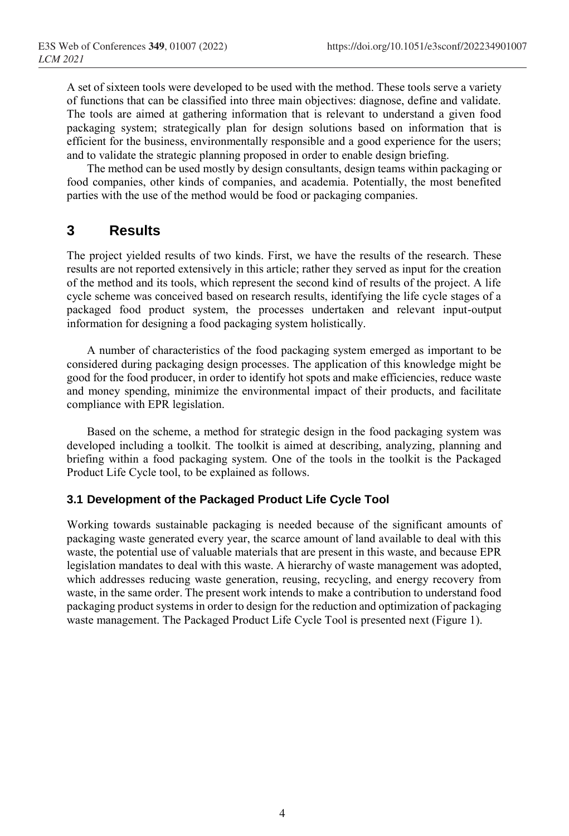A set of sixteen tools were developed to be used with the method. These tools serve a variety of functions that can be classified into three main objectives: diagnose, define and validate. The tools are aimed at gathering information that is relevant to understand a given food packaging system; strategically plan for design solutions based on information that is efficient for the business, environmentally responsible and a good experience for the users; and to validate the strategic planning proposed in order to enable design briefing.

The method can be used mostly by design consultants, design teams within packaging or food companies, other kinds of companies, and academia. Potentially, the most benefited parties with the use of the method would be food or packaging companies.

# **3 Results**

The project yielded results of two kinds. First, we have the results of the research. These results are not reported extensively in this article; rather they served as input for the creation of the method and its tools, which represent the second kind of results of the project. A life cycle scheme was conceived based on research results, identifying the life cycle stages of a packaged food product system, the processes undertaken and relevant input-output information for designing a food packaging system holistically.

A number of characteristics of the food packaging system emerged as important to be considered during packaging design processes. The application of this knowledge might be good for the food producer, in order to identify hot spots and make efficiencies, reduce waste and money spending, minimize the environmental impact of their products, and facilitate compliance with EPR legislation.

Based on the scheme, a method for strategic design in the food packaging system was developed including a toolkit. The toolkit is aimed at describing, analyzing, planning and briefing within a food packaging system. One of the tools in the toolkit is the Packaged Product Life Cycle tool, to be explained as follows.

### **3.1 Development of the Packaged Product Life Cycle Tool**

Working towards sustainable packaging is needed because of the significant amounts of packaging waste generated every year, the scarce amount of land available to deal with this waste, the potential use of valuable materials that are present in this waste, and because EPR legislation mandates to deal with this waste. A hierarchy of waste management was adopted, which addresses reducing waste generation, reusing, recycling, and energy recovery from waste, in the same order. The present work intends to make a contribution to understand food packaging product systems in order to design for the reduction and optimization of packaging waste management. The Packaged Product Life Cycle Tool is presented next (Figure 1).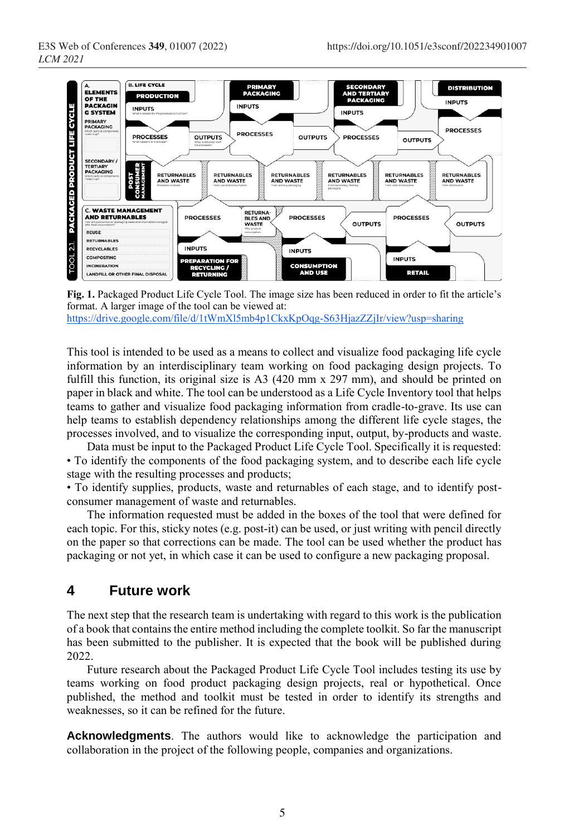

**Fig. 1.** Packaged Product Life Cycle Tool. The image size has been reduced in order to fit the article's format. A larger image of the tool can be viewed at: <https://drive.google.com/file/d/1tWmXl5mb4p1CkxKpOqg-S63HjazZZjIr/view?usp=sharing>

This tool is intended to be used as a means to collect and visualize food packaging life cycle information by an interdisciplinary team working on food packaging design projects. To fulfill this function, its original size is A3 (420 mm x 297 mm), and should be printed on paper in black and white. The tool can be understood as a Life Cycle Inventory tool that helps teams to gather and visualize food packaging information from cradle-to-grave. Its use can help teams to establish dependency relationships among the different life cycle stages, the processes involved, and to visualize the corresponding input, output, by-products and waste.

Data must be input to the Packaged Product Life Cycle Tool. Specifically it is requested: • To identify the components of the food packaging system, and to describe each life cycle stage with the resulting processes and products;

• To identify supplies, products, waste and returnables of each stage, and to identify postconsumer management of waste and returnables.

The information requested must be added in the boxes of the tool that were defined for each topic. For this, sticky notes (e.g. post-it) can be used, or just writing with pencil directly on the paper so that corrections can be made. The tool can be used whether the product has packaging or not yet, in which case it can be used to configure a new packaging proposal.

# **4 Future work**

The next step that the research team is undertaking with regard to this work is the publication of a book that contains the entire method including the complete toolkit. So far the manuscript has been submitted to the publisher. It is expected that the book will be published during 2022.

Future research about the Packaged Product Life Cycle Tool includes testing its use by teams working on food product packaging design projects, real or hypothetical. Once published, the method and toolkit must be tested in order to identify its strengths and weaknesses, so it can be refined for the future.

**Acknowledgments**. The authors would like to acknowledge the participation and collaboration in the project of the following people, companies and organizations.